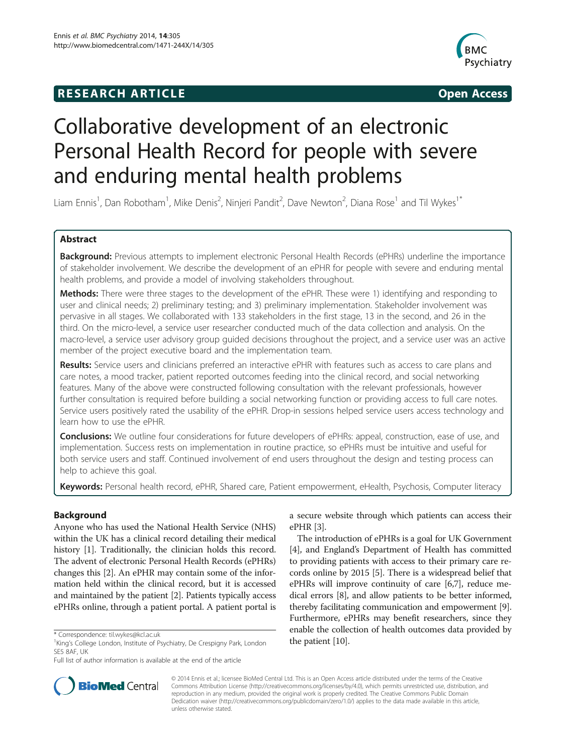## **RESEARCH ARTICLE Example 2014 The SEAR CH ACCESS**



# Collaborative development of an electronic Personal Health Record for people with severe and enduring mental health problems

Liam Ennis<sup>1</sup>, Dan Robotham<sup>1</sup>, Mike Denis<sup>2</sup>, Ninjeri Pandit<sup>2</sup>, Dave Newton<sup>2</sup>, Diana Rose<sup>1</sup> and Til Wykes<sup>1\*</sup>

## Abstract

Background: Previous attempts to implement electronic Personal Health Records (ePHRs) underline the importance of stakeholder involvement. We describe the development of an ePHR for people with severe and enduring mental health problems, and provide a model of involving stakeholders throughout.

Methods: There were three stages to the development of the ePHR. These were 1) identifying and responding to user and clinical needs; 2) preliminary testing; and 3) preliminary implementation. Stakeholder involvement was pervasive in all stages. We collaborated with 133 stakeholders in the first stage, 13 in the second, and 26 in the third. On the micro-level, a service user researcher conducted much of the data collection and analysis. On the macro-level, a service user advisory group guided decisions throughout the project, and a service user was an active member of the project executive board and the implementation team.

Results: Service users and clinicians preferred an interactive ePHR with features such as access to care plans and care notes, a mood tracker, patient reported outcomes feeding into the clinical record, and social networking features. Many of the above were constructed following consultation with the relevant professionals, however further consultation is required before building a social networking function or providing access to full care notes. Service users positively rated the usability of the ePHR. Drop-in sessions helped service users access technology and learn how to use the ePHR.

Conclusions: We outline four considerations for future developers of ePHRs: appeal, construction, ease of use, and implementation. Success rests on implementation in routine practice, so ePHRs must be intuitive and useful for both service users and staff. Continued involvement of end users throughout the design and testing process can help to achieve this goal.

Keywords: Personal health record, ePHR, Shared care, Patient empowerment, eHealth, Psychosis, Computer literacy

## **Background**

Anyone who has used the National Health Service (NHS) within the UK has a clinical record detailing their medical history [\[1](#page-5-0)]. Traditionally, the clinician holds this record. The advent of electronic Personal Health Records (ePHRs) changes this [[2\]](#page-6-0). An ePHR may contain some of the information held within the clinical record, but it is accessed and maintained by the patient [[2\]](#page-6-0). Patients typically access ePHRs online, through a patient portal. A patient portal is



The introduction of ePHRs is a goal for UK Government [[4\]](#page-6-0), and England's Department of Health has committed to providing patients with access to their primary care records online by 2015 [[5\]](#page-6-0). There is a widespread belief that ePHRs will improve continuity of care [\[6,7\]](#page-6-0), reduce medical errors [\[8](#page-6-0)], and allow patients to be better informed, thereby facilitating communication and empowerment [[9](#page-6-0)]. Furthermore, ePHRs may benefit researchers, since they enable the collection of health outcomes data provided by



© 2014 Ennis et al.; licensee BioMed Central Ltd. This is an Open Access article distributed under the terms of the Creative Commons Attribution License [\(http://creativecommons.org/licenses/by/4.0\)](http://creativecommons.org/licenses/by/4.0), which permits unrestricted use, distribution, and reproduction in any medium, provided the original work is properly credited. The Creative Commons Public Domain Dedication waiver [\(http://creativecommons.org/publicdomain/zero/1.0/](http://creativecommons.org/publicdomain/zero/1.0/)) applies to the data made available in this article, unless otherwise stated.

<sup>\*</sup> Correspondence: [til.wykes@kcl.ac.uk](mailto:til.wykes@kcl.ac.uk)<br>|-<br>10] The patient (10). Institute of Psychiatry, De Crespigny Park, London SE5 8AF, UK

Full list of author information is available at the end of the article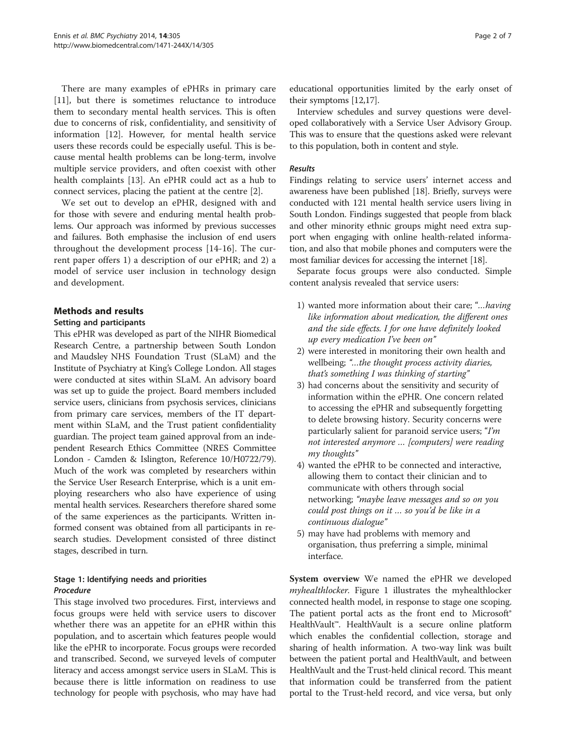There are many examples of ePHRs in primary care [[11\]](#page-6-0), but there is sometimes reluctance to introduce them to secondary mental health services. This is often due to concerns of risk, confidentiality, and sensitivity of information [\[12](#page-6-0)]. However, for mental health service users these records could be especially useful. This is because mental health problems can be long-term, involve multiple service providers, and often coexist with other health complaints [[13](#page-6-0)]. An ePHR could act as a hub to connect services, placing the patient at the centre [[2](#page-6-0)].

We set out to develop an ePHR, designed with and for those with severe and enduring mental health problems. Our approach was informed by previous successes and failures. Both emphasise the inclusion of end users throughout the development process [\[14](#page-6-0)-[16\]](#page-6-0). The current paper offers 1) a description of our ePHR; and 2) a model of service user inclusion in technology design and development.

### Methods and results

### Setting and participants

This ePHR was developed as part of the NIHR Biomedical Research Centre, a partnership between South London and Maudsley NHS Foundation Trust (SLaM) and the Institute of Psychiatry at King's College London. All stages were conducted at sites within SLaM. An advisory board was set up to guide the project. Board members included service users, clinicians from psychosis services, clinicians from primary care services, members of the IT department within SLaM, and the Trust patient confidentiality guardian. The project team gained approval from an independent Research Ethics Committee (NRES Committee London - Camden & Islington, Reference 10/H0722/79). Much of the work was completed by researchers within the Service User Research Enterprise, which is a unit employing researchers who also have experience of using mental health services. Researchers therefore shared some of the same experiences as the participants. Written informed consent was obtained from all participants in research studies. Development consisted of three distinct stages, described in turn.

### Stage 1: Identifying needs and priorities Procedure

This stage involved two procedures. First, interviews and focus groups were held with service users to discover whether there was an appetite for an ePHR within this population, and to ascertain which features people would like the ePHR to incorporate. Focus groups were recorded and transcribed. Second, we surveyed levels of computer literacy and access amongst service users in SLaM. This is because there is little information on readiness to use technology for people with psychosis, who may have had

educational opportunities limited by the early onset of their symptoms [[12,17](#page-6-0)].

Interview schedules and survey questions were developed collaboratively with a Service User Advisory Group. This was to ensure that the questions asked were relevant to this population, both in content and style.

### Results

Findings relating to service users' internet access and awareness have been published [\[18](#page-6-0)]. Briefly, surveys were conducted with 121 mental health service users living in South London. Findings suggested that people from black and other minority ethnic groups might need extra support when engaging with online health-related information, and also that mobile phones and computers were the most familiar devices for accessing the internet [[18\]](#page-6-0).

Separate focus groups were also conducted. Simple content analysis revealed that service users:

- 1) wanted more information about their care; "…having like information about medication, the different ones and the side effects. I for one have definitely looked up every medication I've been on"
- 2) were interested in monitoring their own health and wellbeing; "…the thought process activity diaries, that's something I was thinking of starting"
- 3) had concerns about the sensitivity and security of information within the ePHR. One concern related to accessing the ePHR and subsequently forgetting to delete browsing history. Security concerns were particularly salient for paranoid service users; "I'm not interested anymore … [computers] were reading my thoughts"
- 4) wanted the ePHR to be connected and interactive, allowing them to contact their clinician and to communicate with others through social networking; "maybe leave messages and so on you could post things on it … so you'd be like in a continuous dialogue"
- 5) may have had problems with memory and organisation, thus preferring a simple, minimal interface.

System overview We named the ePHR we developed myhealthlocker. Figure [1](#page-2-0) illustrates the myhealthlocker connected health model, in response to stage one scoping. The patient portal acts as the front end to Microsoft® HealthVault™. HealthVault is a secure online platform which enables the confidential collection, storage and sharing of health information. A two-way link was built between the patient portal and HealthVault, and between HealthVault and the Trust-held clinical record. This meant that information could be transferred from the patient portal to the Trust-held record, and vice versa, but only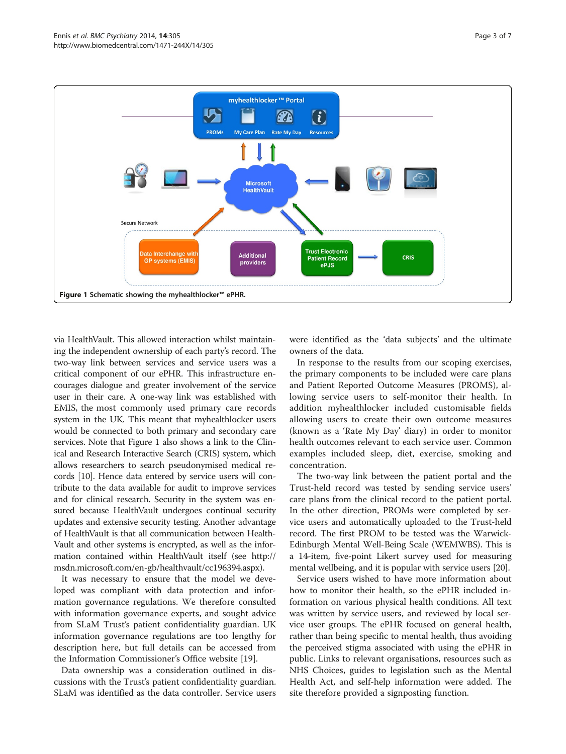<span id="page-2-0"></span>

via HealthVault. This allowed interaction whilst maintaining the independent ownership of each party's record. The two-way link between services and service users was a critical component of our ePHR. This infrastructure encourages dialogue and greater involvement of the service user in their care. A one-way link was established with EMIS, the most commonly used primary care records system in the UK. This meant that myhealthlocker users would be connected to both primary and secondary care services. Note that Figure 1 also shows a link to the Clinical and Research Interactive Search (CRIS) system, which allows researchers to search pseudonymised medical records [\[10\]](#page-6-0). Hence data entered by service users will contribute to the data available for audit to improve services and for clinical research. Security in the system was ensured because HealthVault undergoes continual security updates and extensive security testing. Another advantage of HealthVault is that all communication between Health-Vault and other systems is encrypted, as well as the information contained within HealthVault itself (see [http://](http://msdn.microsoft.com/en-gb/healthvault/cc196394.aspx) [msdn.microsoft.com/en-gb/healthvault/cc196394.aspx](http://msdn.microsoft.com/en-gb/healthvault/cc196394.aspx)).

It was necessary to ensure that the model we developed was compliant with data protection and information governance regulations. We therefore consulted with information governance experts, and sought advice from SLaM Trust's patient confidentiality guardian. UK information governance regulations are too lengthy for description here, but full details can be accessed from the Information Commissioner's Office website [\[19](#page-6-0)].

Data ownership was a consideration outlined in discussions with the Trust's patient confidentiality guardian. SLaM was identified as the data controller. Service users

were identified as the 'data subjects' and the ultimate owners of the data.

In response to the results from our scoping exercises, the primary components to be included were care plans and Patient Reported Outcome Measures (PROMS), allowing service users to self-monitor their health. In addition myhealthlocker included customisable fields allowing users to create their own outcome measures (known as a 'Rate My Day' diary) in order to monitor health outcomes relevant to each service user. Common examples included sleep, diet, exercise, smoking and concentration.

The two-way link between the patient portal and the Trust-held record was tested by sending service users' care plans from the clinical record to the patient portal. In the other direction, PROMs were completed by service users and automatically uploaded to the Trust-held record. The first PROM to be tested was the Warwick-Edinburgh Mental Well-Being Scale (WEMWBS). This is a 14-item, five-point Likert survey used for measuring mental wellbeing, and it is popular with service users [\[20\]](#page-6-0).

Service users wished to have more information about how to monitor their health, so the ePHR included information on various physical health conditions. All text was written by service users, and reviewed by local service user groups. The ePHR focused on general health, rather than being specific to mental health, thus avoiding the perceived stigma associated with using the ePHR in public. Links to relevant organisations, resources such as NHS Choices, guides to legislation such as the Mental Health Act, and self-help information were added. The site therefore provided a signposting function.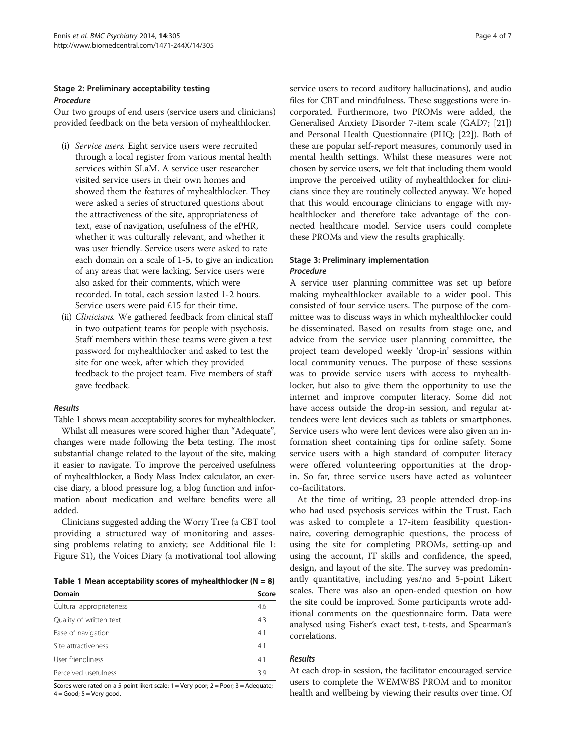### Stage 2: Preliminary acceptability testing Procedure

Our two groups of end users (service users and clinicians) provided feedback on the beta version of myhealthlocker.

- (i) Service users. Eight service users were recruited through a local register from various mental health services within SLaM. A service user researcher visited service users in their own homes and showed them the features of myhealthlocker. They were asked a series of structured questions about the attractiveness of the site, appropriateness of text, ease of navigation, usefulness of the ePHR, whether it was culturally relevant, and whether it was user friendly. Service users were asked to rate each domain on a scale of 1-5, to give an indication of any areas that were lacking. Service users were also asked for their comments, which were recorded. In total, each session lasted 1-2 hours. Service users were paid £15 for their time.
- (ii) Clinicians. We gathered feedback from clinical staff in two outpatient teams for people with psychosis. Staff members within these teams were given a test password for myhealthlocker and asked to test the site for one week, after which they provided feedback to the project team. Five members of staff gave feedback.

### Results

Table 1 shows mean acceptability scores for myhealthlocker.

Whilst all measures were scored higher than "Adequate", changes were made following the beta testing. The most substantial change related to the layout of the site, making it easier to navigate. To improve the perceived usefulness of myhealthlocker, a Body Mass Index calculator, an exercise diary, a blood pressure log, a blog function and information about medication and welfare benefits were all added.

Clinicians suggested adding the Worry Tree (a CBT tool providing a structured way of monitoring and assessing problems relating to anxiety; see Additional file [1](#page-5-0): Figure S1), the Voices Diary (a motivational tool allowing

Table 1 Mean acceptability scores of myhealthlocker ( $N = 8$ )

| Domain                   | Score |
|--------------------------|-------|
| Cultural appropriateness | 4.6   |
| Quality of written text  | 4.3   |
| Ease of navigation       | 4.1   |
| Site attractiveness      | 4.1   |
| User friendliness        | 4.1   |
| Perceived usefulness     | 3.9   |

Scores were rated on a 5-point likert scale: 1 = Very poor; 2 = Poor; 3 = Adequate;  $4 = Good$ ;  $5 = Very good$ .

service users to record auditory hallucinations), and audio files for CBT and mindfulness. These suggestions were incorporated. Furthermore, two PROMs were added, the Generalised Anxiety Disorder 7-item scale (GAD7; [[21](#page-6-0)]) and Personal Health Questionnaire (PHQ; [[22](#page-6-0)]). Both of these are popular self-report measures, commonly used in mental health settings. Whilst these measures were not chosen by service users, we felt that including them would improve the perceived utility of myhealthlocker for clinicians since they are routinely collected anyway. We hoped that this would encourage clinicians to engage with myhealthlocker and therefore take advantage of the connected healthcare model. Service users could complete these PROMs and view the results graphically.

#### Stage 3: Preliminary implementation Procedure

A service user planning committee was set up before making myhealthlocker available to a wider pool. This consisted of four service users. The purpose of the committee was to discuss ways in which myhealthlocker could be disseminated. Based on results from stage one, and advice from the service user planning committee, the project team developed weekly 'drop-in' sessions within local community venues. The purpose of these sessions was to provide service users with access to myhealthlocker, but also to give them the opportunity to use the internet and improve computer literacy. Some did not have access outside the drop-in session, and regular attendees were lent devices such as tablets or smartphones. Service users who were lent devices were also given an information sheet containing tips for online safety. Some service users with a high standard of computer literacy were offered volunteering opportunities at the dropin. So far, three service users have acted as volunteer co-facilitators.

At the time of writing, 23 people attended drop-ins who had used psychosis services within the Trust. Each was asked to complete a 17-item feasibility questionnaire, covering demographic questions, the process of using the site for completing PROMs, setting-up and using the account, IT skills and confidence, the speed, design, and layout of the site. The survey was predominantly quantitative, including yes/no and 5-point Likert scales. There was also an open-ended question on how the site could be improved. Some participants wrote additional comments on the questionnaire form. Data were analysed using Fisher's exact test, t-tests, and Spearman's correlations.

## Results

At each drop-in session, the facilitator encouraged service users to complete the WEMWBS PROM and to monitor health and wellbeing by viewing their results over time. Of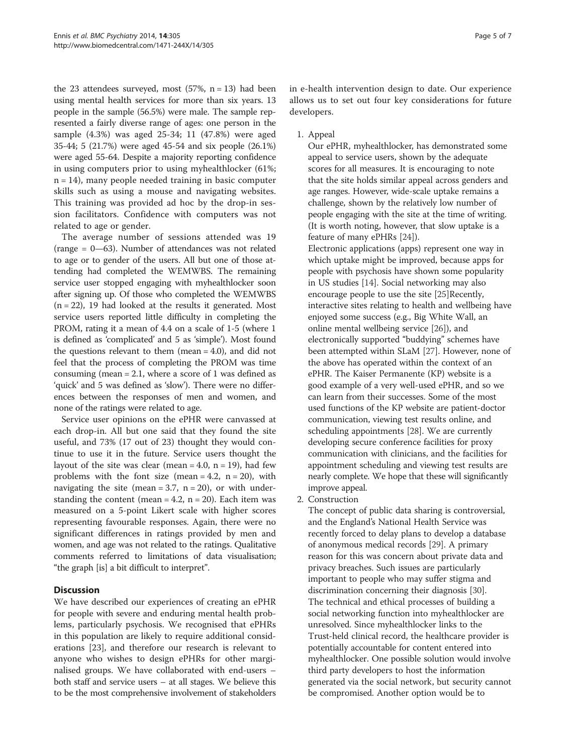the 23 attendees surveyed, most  $(57\%, n = 13)$  had been using mental health services for more than six years. 13 people in the sample (56.5%) were male. The sample represented a fairly diverse range of ages: one person in the sample (4.3%) was aged 25-34; 11 (47.8%) were aged 35-44; 5 (21.7%) were aged 45-54 and six people (26.1%) were aged 55-64. Despite a majority reporting confidence in using computers prior to using myhealthlocker (61%;  $n = 14$ ), many people needed training in basic computer skills such as using a mouse and navigating websites. This training was provided ad hoc by the drop-in session facilitators. Confidence with computers was not related to age or gender.

The average number of sessions attended was 19 (range = 0—63). Number of attendances was not related to age or to gender of the users. All but one of those attending had completed the WEMWBS. The remaining service user stopped engaging with myhealthlocker soon after signing up. Of those who completed the WEMWBS  $(n = 22)$ , 19 had looked at the results it generated. Most service users reported little difficulty in completing the PROM, rating it a mean of 4.4 on a scale of 1-5 (where 1 is defined as 'complicated' and 5 as 'simple'). Most found the questions relevant to them (mean = 4.0), and did not feel that the process of completing the PROM was time consuming (mean  $= 2.1$ , where a score of 1 was defined as 'quick' and 5 was defined as 'slow'). There were no differences between the responses of men and women, and none of the ratings were related to age.

Service user opinions on the ePHR were canvassed at each drop-in. All but one said that they found the site useful, and 73% (17 out of 23) thought they would continue to use it in the future. Service users thought the layout of the site was clear (mean = 4.0,  $n = 19$ ), had few problems with the font size (mean =  $4.2$ , n =  $20$ ), with navigating the site (mean =  $3.7$ , n =  $20$ ), or with understanding the content (mean =  $4.2$ , n =  $20$ ). Each item was measured on a 5-point Likert scale with higher scores representing favourable responses. Again, there were no significant differences in ratings provided by men and women, and age was not related to the ratings. Qualitative comments referred to limitations of data visualisation; "the graph [is] a bit difficult to interpret".

## **Discussion**

We have described our experiences of creating an ePHR for people with severe and enduring mental health problems, particularly psychosis. We recognised that ePHRs in this population are likely to require additional considerations [[23\]](#page-6-0), and therefore our research is relevant to anyone who wishes to design ePHRs for other marginalised groups. We have collaborated with end-users – both staff and service users – at all stages. We believe this to be the most comprehensive involvement of stakeholders in e-health intervention design to date. Our experience allows us to set out four key considerations for future developers.

## 1. Appeal

Our ePHR, myhealthlocker, has demonstrated some appeal to service users, shown by the adequate scores for all measures. It is encouraging to note that the site holds similar appeal across genders and age ranges. However, wide-scale uptake remains a challenge, shown by the relatively low number of people engaging with the site at the time of writing. (It is worth noting, however, that slow uptake is a feature of many ePHRs [[24](#page-6-0)]). Electronic applications (apps) represent one way in which uptake might be improved, because apps for people with psychosis have shown some popularity in US studies [[14](#page-6-0)]. Social networking may also encourage people to use the site [\[25\]](#page-6-0)Recently, interactive sites relating to health and wellbeing have enjoyed some success (e.g., Big White Wall, an online mental wellbeing service [[26\]](#page-6-0)), and electronically supported "buddying" schemes have been attempted within SLaM [\[27\]](#page-6-0). However, none of the above has operated within the context of an ePHR. The Kaiser Permanente (KP) website is a good example of a very well-used ePHR, and so we can learn from their successes. Some of the most used functions of the KP website are patient-doctor communication, viewing test results online, and scheduling appointments [\[28\]](#page-6-0). We are currently developing secure conference facilities for proxy communication with clinicians, and the facilities for appointment scheduling and viewing test results are nearly complete. We hope that these will significantly improve appeal.

2. Construction

The concept of public data sharing is controversial, and the England's National Health Service was recently forced to delay plans to develop a database of anonymous medical records [\[29](#page-6-0)]. A primary reason for this was concern about private data and privacy breaches. Such issues are particularly important to people who may suffer stigma and discrimination concerning their diagnosis [\[30](#page-6-0)]. The technical and ethical processes of building a social networking function into myhealthlocker are unresolved. Since myhealthlocker links to the Trust-held clinical record, the healthcare provider is potentially accountable for content entered into myhealthlocker. One possible solution would involve third party developers to host the information generated via the social network, but security cannot be compromised. Another option would be to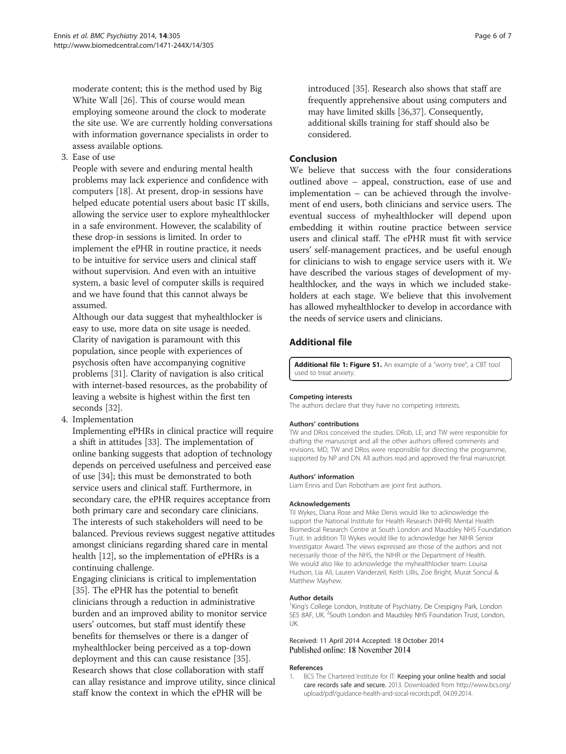<span id="page-5-0"></span>moderate content; this is the method used by Big White Wall [[26](#page-6-0)]. This of course would mean employing someone around the clock to moderate the site use. We are currently holding conversations with information governance specialists in order to assess available options.

3. Ease of use

People with severe and enduring mental health problems may lack experience and confidence with computers [\[18\]](#page-6-0). At present, drop-in sessions have helped educate potential users about basic IT skills, allowing the service user to explore myhealthlocker in a safe environment. However, the scalability of these drop-in sessions is limited. In order to implement the ePHR in routine practice, it needs to be intuitive for service users and clinical staff without supervision. And even with an intuitive system, a basic level of computer skills is required and we have found that this cannot always be assumed.

Although our data suggest that myhealthlocker is easy to use, more data on site usage is needed. Clarity of navigation is paramount with this population, since people with experiences of psychosis often have accompanying cognitive problems [[31](#page-6-0)]. Clarity of navigation is also critical with internet-based resources, as the probability of leaving a website is highest within the first ten seconds [[32\]](#page-6-0).

4. Implementation

Implementing ePHRs in clinical practice will require a shift in attitudes [\[33\]](#page-6-0). The implementation of online banking suggests that adoption of technology depends on perceived usefulness and perceived ease of use [\[34\]](#page-6-0); this must be demonstrated to both service users and clinical staff. Furthermore, in secondary care, the ePHR requires acceptance from both primary care and secondary care clinicians. The interests of such stakeholders will need to be balanced. Previous reviews suggest negative attitudes amongst clinicians regarding shared care in mental health [\[12\]](#page-6-0), so the implementation of ePHRs is a continuing challenge.

Engaging clinicians is critical to implementation [\[35](#page-6-0)]. The ePHR has the potential to benefit clinicians through a reduction in administrative burden and an improved ability to monitor service users' outcomes, but staff must identify these benefits for themselves or there is a danger of myhealthlocker being perceived as a top-down deployment and this can cause resistance [[35](#page-6-0)]. Research shows that close collaboration with staff can allay resistance and improve utility, since clinical staff know the context in which the ePHR will be

introduced [\[35\]](#page-6-0). Research also shows that staff are frequently apprehensive about using computers and may have limited skills [[36](#page-6-0),[37](#page-6-0)]. Consequently, additional skills training for staff should also be considered.

### Conclusion

We believe that success with the four considerations outlined above – appeal, construction, ease of use and implementation – can be achieved through the involvement of end users, both clinicians and service users. The eventual success of myhealthlocker will depend upon embedding it within routine practice between service users and clinical staff. The ePHR must fit with service users' self-management practices, and be useful enough for clinicians to wish to engage service users with it. We have described the various stages of development of myhealthlocker, and the ways in which we included stakeholders at each stage. We believe that this involvement has allowed myhealthlocker to develop in accordance with the needs of service users and clinicians.

## Additional file

[Additional file 1: Figure S1.](http://www.biomedcentral.com/content/supplementary/s12888-014-0305-9-s1.pdf) An example of a "worry tree", a CBT tool used to treat anxiety.

#### Competing interests

The authors declare that they have no competing interests.

#### Authors' contributions

TW and DRos conceived the studies. DRob, LE, and TW were responsible for drafting the manuscript and all the other authors offered comments and revisions. MD, TW and DRos were responsible for directing the programme, supported by NP and DN. All authors read and approved the final manuscript.

#### Authors' information

Liam Ennis and Dan Robotham are joint first authors.

#### Acknowledgements

Til Wykes, Diana Rose and Mike Denis would like to acknowledge the support the National Institute for Health Research (NIHR) Mental Health Biomedical Research Centre at South London and Maudsley NHS Foundation Trust. In addition Til Wykes would like to acknowledge her NIHR Senior Investigator Award. The views expressed are those of the authors and not necessarily those of the NHS, the NIHR or the Department of Health. We would also like to acknowledge the myhealthlocker team: Louisa Hudson, Lia Ali, Lauren Vanderzeil, Keith Lillis, Zoe Bright, Murat Soncul & Matthew Mayhew.

#### Author details

<sup>1</sup>King's College London, Institute of Psychiatry, De Crespigny Park, Londor SE5 8AF, UK.<sup>2</sup>South London and Maudsley NHS Foundation Trust, London, UK.

Received: 11 April 2014 Accepted: 18 October 2014 Published online: 18 November 2014

#### References

1. BCS The Chartered Institute for IT: Keeping your online health and social care records safe and secure. 2013. Downloaded from [http://www.bcs.org/](http://www.bcs.org/upload/pdf/guidance-health-and-socal-records.pdf) [upload/pdf/guidance-health-and-socal-records.pdf](http://www.bcs.org/upload/pdf/guidance-health-and-socal-records.pdf), 04.09.2014.